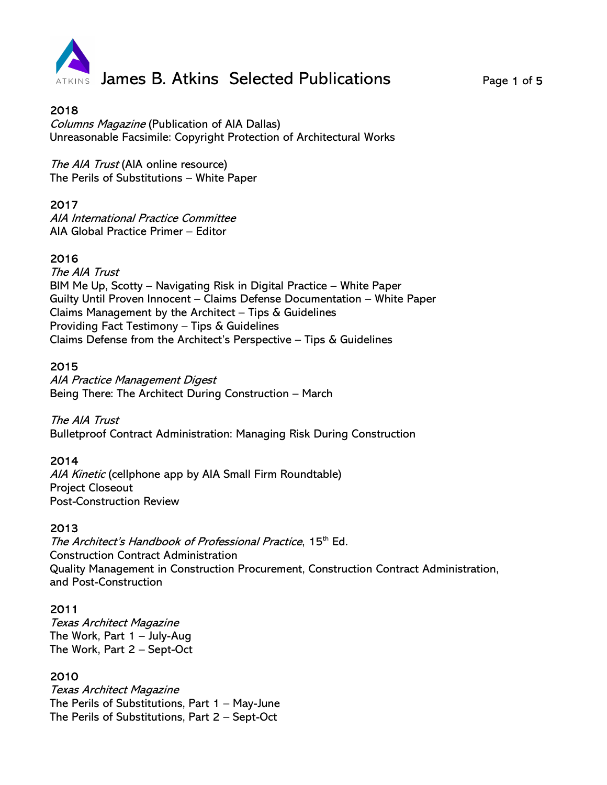

Columns Magazine (Publication of AIA Dallas) Unreasonable Facsimile: Copyright Protection of Architectural Works

The AIA Trust (AIA online resource) The Perils of Substitutions – White Paper

### 2017

AIA International Practice Committee AIA Global Practice Primer – Editor

# 2016

The AIA Trust BIM Me Up, Scotty – Navigating Risk in Digital Practice – White Paper Guilty Until Proven Innocent – Claims Defense Documentation – White Paper Claims Management by the Architect – Tips & Guidelines Providing Fact Testimony – Tips & Guidelines Claims Defense from the Architect's Perspective – Tips & Guidelines

## 2015

AIA Practice Management Digest Being There: The Architect During Construction – March

The AIA Trust Bulletproof Contract Administration: Managing Risk During Construction

#### 2014

AIA Kinetic (cellphone app by AIA Small Firm Roundtable) Project Closeout Post-Construction Review

#### 2013

The Architect's Handbook of Professional Practice, 15<sup>th</sup> Ed. Construction Contract Administration Quality Management in Construction Procurement, Construction Contract Administration, and Post-Construction

#### 2011

Texas Architect Magazine The Work, Part 1 – July-Aug The Work, Part 2 – Sept-Oct

# 2010

Texas Architect Magazine The Perils of Substitutions, Part 1 – May-June The Perils of Substitutions, Part 2 – Sept-Oct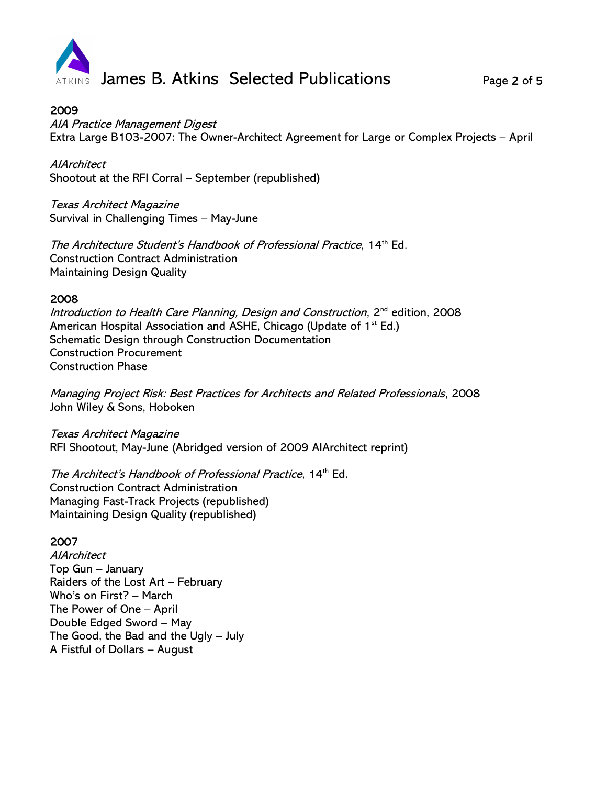

AIA Practice Management Digest Extra Large B103-2007: The Owner-Architect Agreement for Large or Complex Projects – April

**AlArchitect** Shootout at the RFI Corral – September (republished)

Texas Architect Magazine Survival in Challenging Times – May-June

The Architecture Student's Handbook of Professional Practice, 14<sup>th</sup> Ed. Construction Contract Administration Maintaining Design Quality

### 2008

Introduction to Health Care Planning, Design and Construction, 2<sup>nd</sup> edition, 2008 American Hospital Association and ASHE, Chicago (Update of  $1<sup>st</sup> Ed.$ ) Schematic Design through Construction Documentation Construction Procurement Construction Phase

Managing Project Risk: Best Practices for Architects and Related Professionals, 2008 John Wiley & Sons, Hoboken

Texas Architect Magazine RFI Shootout, May-June (Abridged version of 2009 AIArchitect reprint)

The Architect's Handbook of Professional Practice, 14<sup>th</sup> Ed. Construction Contract Administration Managing Fast-Track Projects (republished) Maintaining Design Quality (republished)

# 2007

**AlArchitect** Top Gun – January Raiders of the Lost Art – February Who's on First? – March The Power of One – April Double Edged Sword – May The Good, the Bad and the Ugly – July A Fistful of Dollars – August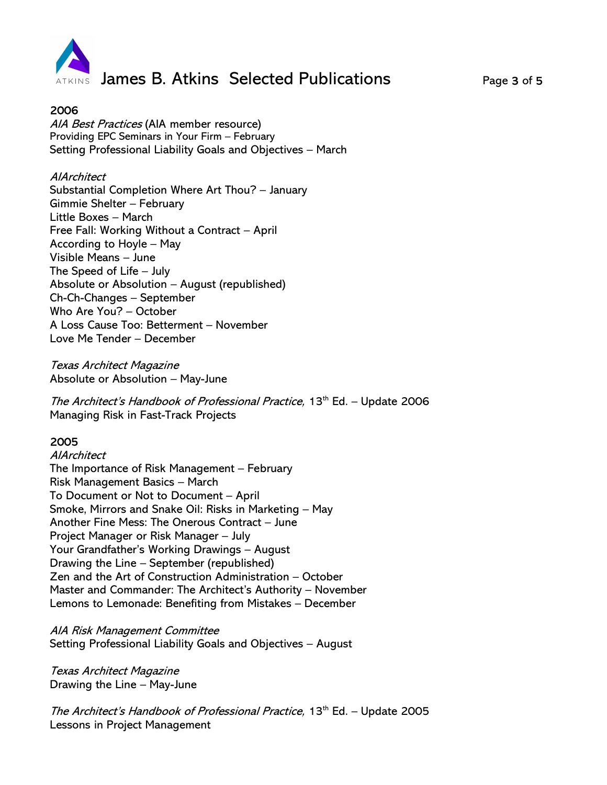

AIA Best Practices (AIA member resource) Providing EPC Seminars in Your Firm – February Setting Professional Liability Goals and Objectives – March

### **AlArchitect**

Substantial Completion Where Art Thou? – January Gimmie Shelter – February Little Boxes – March Free Fall: Working Without a Contract – April According to Hoyle – May Visible Means – June The Speed of Life – July Absolute or Absolution – August (republished) Ch-Ch-Changes – September Who Are You? – October A Loss Cause Too: Betterment – November Love Me Tender – December

Texas Architect Magazine Absolute or Absolution – May-June

The Architect's Handbook of Professional Practice, 13<sup>th</sup> Ed. – Update 2006 Managing Risk in Fast-Track Projects

# 2005

AIArchitect The Importance of Risk Management – February Risk Management Basics – March To Document or Not to Document – April Smoke, Mirrors and Snake Oil: Risks in Marketing – May Another Fine Mess: The Onerous Contract – June Project Manager or Risk Manager – July Your Grandfather's Working Drawings – August Drawing the Line – September (republished) Zen and the Art of Construction Administration – October Master and Commander: The Architect's Authority – November Lemons to Lemonade: Benefiting from Mistakes – December

AIA Risk Management Committee Setting Professional Liability Goals and Objectives – August

Texas Architect Magazine Drawing the Line – May-June

The Architect's Handbook of Professional Practice, 13<sup>th</sup> Ed. – Update 2005 Lessons in Project Management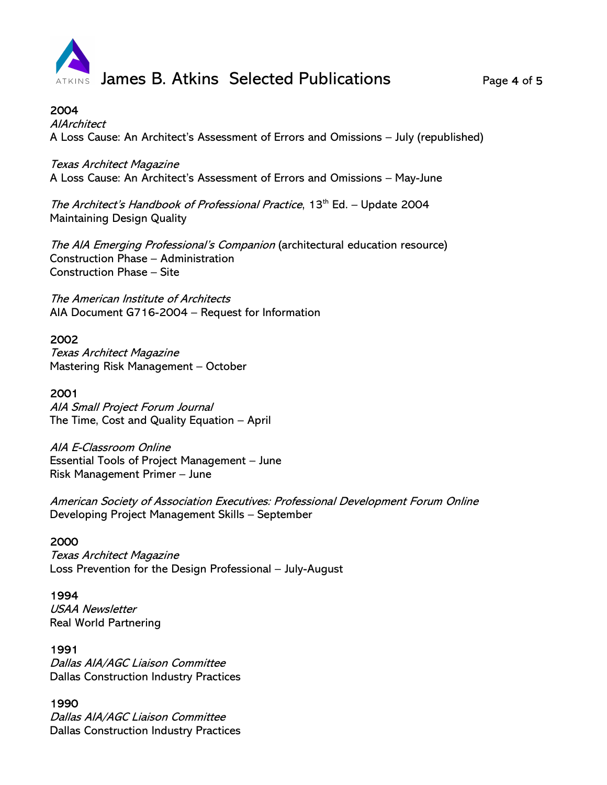

**AlArchitect** A Loss Cause: An Architect's Assessment of Errors and Omissions – July (republished)

Texas Architect Magazine

A Loss Cause: An Architect's Assessment of Errors and Omissions – May-June

The Architect's Handbook of Professional Practice, 13<sup>th</sup> Ed. – Update 2004 Maintaining Design Quality

The AIA Emerging Professional's Companion (architectural education resource) Construction Phase – Administration Construction Phase – Site

The American Institute of Architects AIA Document G716-2004 – Request for Information

### 2002

Texas Architect Magazine Mastering Risk Management – October

## 2001

AIA Small Project Forum Journal The Time, Cost and Quality Equation – April

AIA E-Classroom Online Essential Tools of Project Management – June Risk Management Primer – June

American Society of Association Executives: Professional Development Forum Online Developing Project Management Skills – September

#### 2000

Texas Architect Magazine Loss Prevention for the Design Professional – July-August

#### 1994

USAA Newsletter Real World Partnering

# 1991

Dallas AIA/AGC Liaison Committee Dallas Construction Industry Practices

# 1990

Dallas AIA/AGC Liaison Committee Dallas Construction Industry Practices